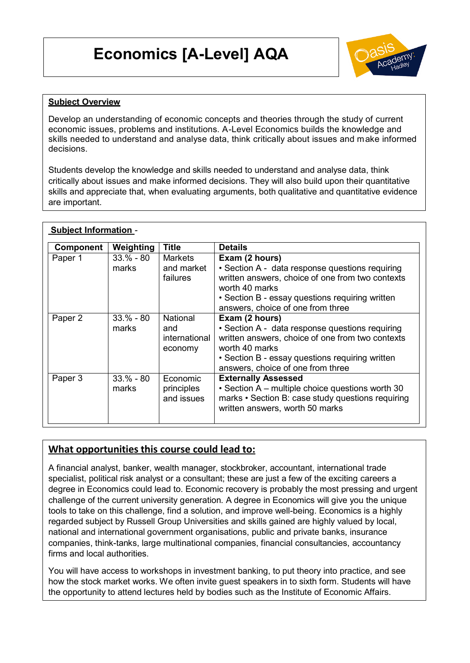# **Economics [A-Level] AQA**



### **Subject Overview**

Develop an understanding of economic concepts and theories through the study of current economic issues, problems and institutions. A-Level Economics builds the knowledge and skills needed to understand and analyse data, think critically about issues and m ake informed decisions.

Students develop the knowledge and skills needed to understand and analyse data, think critically about issues and make informed decisions. They will also build upon their quantitative skills and appreciate that, when evaluating arguments, both qualitative and quantitative evidence are important.

| <b>Subject Information -</b> |                      |                                                    |                                                                                                                                                                                                                                 |
|------------------------------|----------------------|----------------------------------------------------|---------------------------------------------------------------------------------------------------------------------------------------------------------------------------------------------------------------------------------|
| Component                    | Weighting            | <b>Title</b>                                       | <b>Details</b>                                                                                                                                                                                                                  |
| Paper 1                      | $33.% - 80$<br>marks | Markets<br>and market<br>failures                  | Exam (2 hours)<br>• Section A - data response questions requiring<br>written answers, choice of one from two contexts<br>worth 40 marks<br>• Section B - essay questions requiring written<br>answers, choice of one from three |
| Paper 2                      | $33.% - 80$<br>marks | <b>National</b><br>and<br>international<br>economy | Exam (2 hours)<br>• Section A - data response questions requiring<br>written answers, choice of one from two contexts<br>worth 40 marks<br>• Section B - essay questions requiring written<br>answers, choice of one from three |
| Paper 3                      | $33.% - 80$<br>marks | Economic<br>principles<br>and issues               | <b>Externally Assessed</b><br>• Section A – multiple choice questions worth 30<br>marks • Section B: case study questions requiring<br>written answers, worth 50 marks                                                          |

#### **What opportunities this course could lead to:**

A financial analyst, banker, wealth manager, stockbroker, accountant, international trade specialist, political risk analyst or a consultant; these are just a few of the exciting careers a degree in Economics could lead to. Economic recovery is probably the most pressing and urgent challenge of the current university generation. A degree in Economics will give you the unique tools to take on this challenge, find a solution, and improve well-being. Economics is a highly regarded subject by Russell Group Universities and skills gained are highly valued by local, national and international government organisations, public and private banks, insurance companies, think-tanks, large multinational companies, financial consultancies, accountancy firms and local authorities.

You will have access to workshops in investment banking, to put theory into practice, and see how the stock market works. We often invite guest speakers in to sixth form. Students will have the opportunity to attend lectures held by bodies such as the Institute of Economic Affairs.